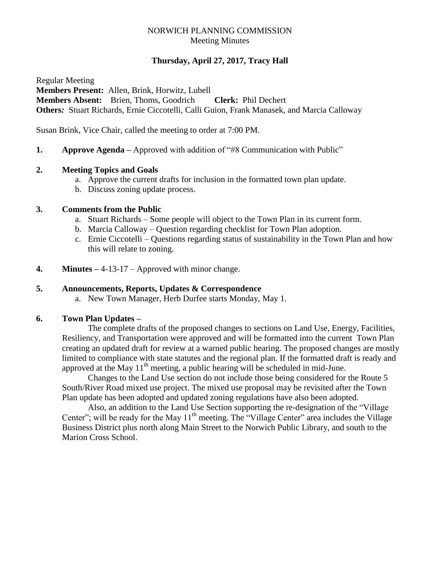## NORWICH PLANNING COMMISSION Meeting Minutes

## **Thursday, April 27, 2017, Tracy Hall**

Regular Meeting **Members Present:** Allen, Brink, Horwitz, Lubell **Members Absent:** Brien, Thoms, Goodrich **Clerk:** Phil Dechert **Others***:* Stuart Richards, Ernie Ciccotelli, Calli Guion, Frank Manasek, and Marcia Calloway

Susan Brink, Vice Chair, called the meeting to order at 7:00 PM.

**1. Approve Agenda –** Approved with addition of "#8 Communication with Public"

### **2. Meeting Topics and Goals**

- a. Approve the current drafts for inclusion in the formatted town plan update.
- b. Discuss zoning update process.

### **3. Comments from the Public**

- a. Stuart Richards Some people will object to the Town Plan in its current form.
- b. Marcia Calloway Question regarding checklist for Town Plan adoption.
- c. Ernie Ciccotelli Questions regarding status of sustainability in the Town Plan and how this will relate to zoning.
- **4. Minutes –** 4-13-17 Approved with minor change.

## **5. Announcements, Reports, Updates & Correspondence**

a. New Town Manager, Herb Durfee starts Monday, May 1.

# **6. Town Plan Updates –**

The complete drafts of the proposed changes to sections on Land Use, Energy, Facilities, Resiliency, and Transportation were approved and will be formatted into the current Town Plan creating an updated draft for review at a warned public hearing. The proposed changes are mostly limited to compliance with state statutes and the regional plan. If the formatted draft is ready and approved at the May  $11<sup>th</sup>$  meeting, a public hearing will be scheduled in mid-June.

Changes to the Land Use section do not include those being considered for the Route 5 South/River Road mixed use project. The mixed use proposal may be revisited after the Town Plan update has been adopted and updated zoning regulations have also been adopted.

Also, an addition to the Land Use Section supporting the re-designation of the "Village Center"; will be ready for the May 11<sup>th</sup> meeting. The "Village Center" area includes the Village Business District plus north along Main Street to the Norwich Public Library, and south to the Marion Cross School.